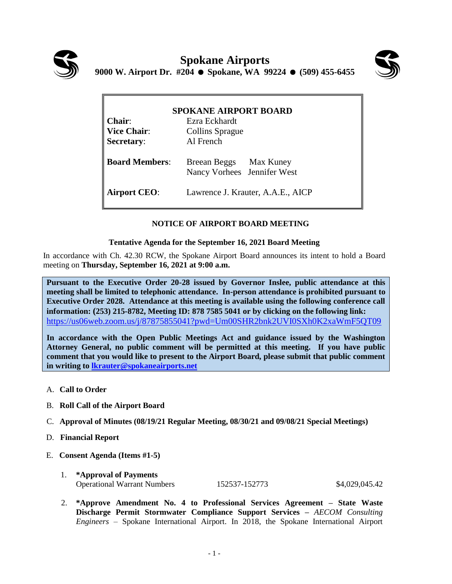



| <b>SPOKANE AIRPORT BOARD</b> |                                                       |
|------------------------------|-------------------------------------------------------|
| $Chair:$                     | Ezra Eckhardt                                         |
| <b>Vice Chair:</b>           | <b>Collins Sprague</b>                                |
| <b>Secretary:</b>            | Al French                                             |
| <b>Board Members:</b>        | Breean Beggs Max Kuney<br>Nancy Vorhees Jennifer West |
| <b>Airport CEO:</b>          | Lawrence J. Krauter, A.A.E., AICP                     |

## **NOTICE OF AIRPORT BOARD MEETING**

## **Tentative Agenda for the September 16, 2021 Board Meeting**

In accordance with Ch. 42.30 RCW, the Spokane Airport Board announces its intent to hold a Board meeting on **Thursday, September 16, 2021 at 9:00 a.m.** 

**Pursuant to the Executive Order 20-28 issued by Governor Inslee, public attendance at this meeting shall be limited to telephonic attendance. In-person attendance is prohibited pursuant to Executive Order 2028. Attendance at this meeting is available using the following conference call information: (253) 215-8782, Meeting ID: 878 7585 5041 or by clicking on the following link:** <https://us06web.zoom.us/j/87875855041?pwd=Um00SHR2bnk2UVI0SXh0K2xaWmF5QT09>

**In accordance with the Open Public Meetings Act and guidance issued by the Washington Attorney General, no public comment will be permitted at this meeting. If you have public comment that you would like to present to the Airport Board, please submit that public comment in writing to [lkrauter@spokaneairports.net](mailto:lkrauter@spokaneairports.net)**

- A. **Call to Order**
- B. **Roll Call of the Airport Board**
- C. **Approval of Minutes (08/19/21 Regular Meeting, 08/30/21 and 09/08/21 Special Meetings)**
- D. **Financial Report**
- E. **Consent Agenda (Items #1-5)** 
	- 1. **\*Approval of Payments** Operational Warrant Numbers 152537-152773 \$4,029,045.42
	- 2. **\*Approve Amendment No. 4 to Professional Services Agreement – State Waste Discharge Permit Stormwater Compliance Support Services –** *AECOM Consulting Engineers* – Spokane International Airport. In 2018, the Spokane International Airport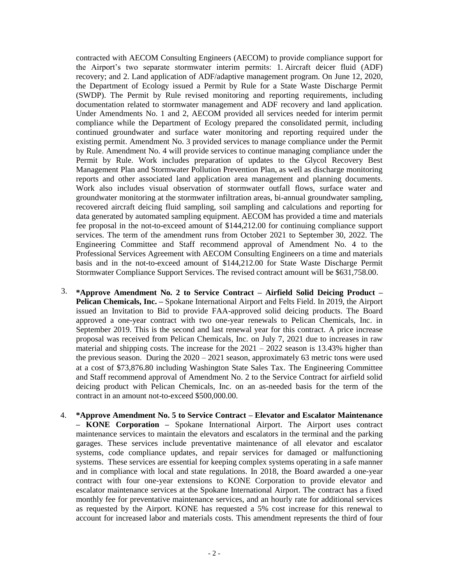contracted with AECOM Consulting Engineers (AECOM) to provide compliance support for the Airport's two separate stormwater interim permits: 1. Aircraft deicer fluid (ADF) recovery; and 2. Land application of ADF/adaptive management program. On June 12, 2020, the Department of Ecology issued a Permit by Rule for a State Waste Discharge Permit (SWDP). The Permit by Rule revised monitoring and reporting requirements, including documentation related to stormwater management and ADF recovery and land application. Under Amendments No. 1 and 2, AECOM provided all services needed for interim permit compliance while the Department of Ecology prepared the consolidated permit, including continued groundwater and surface water monitoring and reporting required under the existing permit. Amendment No. 3 provided services to manage compliance under the Permit by Rule. Amendment No. 4 will provide services to continue managing compliance under the Permit by Rule. Work includes preparation of updates to the Glycol Recovery Best Management Plan and Stormwater Pollution Prevention Plan, as well as discharge monitoring reports and other associated land application area management and planning documents. Work also includes visual observation of stormwater outfall flows, surface water and groundwater monitoring at the stormwater infiltration areas, bi-annual groundwater sampling, recovered aircraft deicing fluid sampling, soil sampling and calculations and reporting for data generated by automated sampling equipment. AECOM has provided a time and materials fee proposal in the not-to-exceed amount of \$144,212.00 for continuing compliance support services. The term of the amendment runs from October 2021 to September 30, 2022. The Engineering Committee and Staff recommend approval of Amendment No. 4 to the Professional Services Agreement with AECOM Consulting Engineers on a time and materials basis and in the not-to-exceed amount of \$144,212.00 for State Waste Discharge Permit Stormwater Compliance Support Services. The revised contract amount will be \$631,758.00.

- 3. **\*Approve Amendment No. 2 to Service Contract – Airfield Solid Deicing Product – Pelican Chemicals, Inc. –** Spokane International Airport and Felts Field. In 2019, the Airport issued an Invitation to Bid to provide FAA-approved solid deicing products. The Board approved a one-year contract with two one-year renewals to Pelican Chemicals, Inc. in September 2019. This is the second and last renewal year for this contract. A price increase proposal was received from Pelican Chemicals, Inc. on July 7, 2021 due to increases in raw material and shipping costs. The increase for the  $2021 - 2022$  season is 13.43% higher than the previous season. During the  $2020 - 2021$  season, approximately 63 metric tons were used at a cost of \$73,876.80 including Washington State Sales Tax. The Engineering Committee and Staff recommend approval of Amendment No. 2 to the Service Contract for airfield solid deicing product with Pelican Chemicals, Inc. on an as-needed basis for the term of the contract in an amount not-to-exceed \$500,000.00.
- 4. **\*Approve Amendment No. 5 to Service Contract – Elevator and Escalator Maintenance – KONE Corporation –** Spokane International Airport. The Airport uses contract maintenance services to maintain the elevators and escalators in the terminal and the parking garages. These services include preventative maintenance of all elevator and escalator systems, code compliance updates, and repair services for damaged or malfunctioning systems. These services are essential for keeping complex systems operating in a safe manner and in compliance with local and state regulations. In 2018, the Board awarded a one-year contract with four one-year extensions to KONE Corporation to provide elevator and escalator maintenance services at the Spokane International Airport. The contract has a fixed monthly fee for preventative maintenance services, and an hourly rate for additional services as requested by the Airport. KONE has requested a 5% cost increase for this renewal to account for increased labor and materials costs. This amendment represents the third of four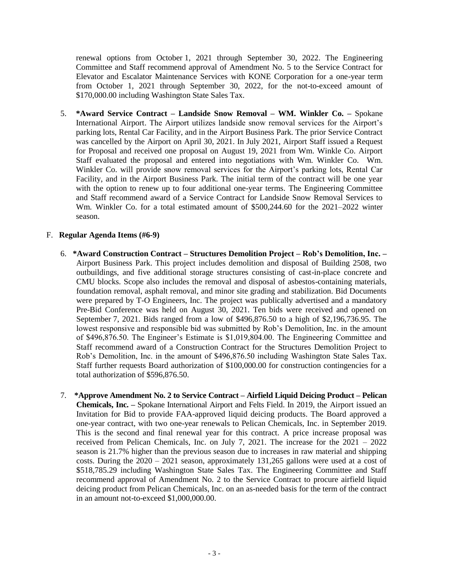renewal options from October 1, 2021 through September 30, 2022. The Engineering Committee and Staff recommend approval of Amendment No. 5 to the Service Contract for Elevator and Escalator Maintenance Services with KONE Corporation for a one-year term from October 1, 2021 through September 30, 2022, for the not-to-exceed amount of \$170,000.00 including Washington State Sales Tax.

5. **\*Award Service Contract – Landside Snow Removal – WM. Winkler Co. –** Spokane International Airport. The Airport utilizes landside snow removal services for the Airport's parking lots, Rental Car Facility, and in the Airport Business Park. The prior Service Contract was cancelled by the Airport on April 30, 2021. In July 2021, Airport Staff issued a Request for Proposal and received one proposal on August 19, 2021 from Wm. Winkle Co. Airport Staff evaluated the proposal and entered into negotiations with Wm. Winkler Co. Wm. Winkler Co. will provide snow removal services for the Airport's parking lots, Rental Car Facility, and in the Airport Business Park. The initial term of the contract will be one year with the option to renew up to four additional one-year terms. The Engineering Committee and Staff recommend award of a Service Contract for Landside Snow Removal Services to Wm. Winkler Co. for a total estimated amount of \$500,244.60 for the 2021–2022 winter season.

## F. **Regular Agenda Items (#6-9)**

- 6. **\*Award Construction Contract – Structures Demolition Project – Rob's Demolition, Inc. –** Airport Business Park. This project includes demolition and disposal of Building 2508, two outbuildings, and five additional storage structures consisting of cast-in-place concrete and CMU blocks. Scope also includes the removal and disposal of asbestos-containing materials, foundation removal, asphalt removal, and minor site grading and stabilization. Bid Documents were prepared by T-O Engineers, Inc. The project was publically advertised and a mandatory Pre-Bid Conference was held on August 30, 2021. Ten bids were received and opened on September 7, 2021. Bids ranged from a low of \$496,876.50 to a high of \$2,196,736.95. The lowest responsive and responsible bid was submitted by Rob's Demolition, Inc. in the amount of \$496,876.50. The Engineer's Estimate is \$1,019,804.00. The Engineering Committee and Staff recommend award of a Construction Contract for the Structures Demolition Project to Rob's Demolition, Inc. in the amount of \$496,876.50 including Washington State Sales Tax. Staff further requests Board authorization of \$100,000.00 for construction contingencies for a total authorization of \$596,876.50.
- 7. **\*Approve Amendment No. 2 to Service Contract – Airfield Liquid Deicing Product – Pelican Chemicals, Inc. –** Spokane International Airport and Felts Field. In 2019, the Airport issued an Invitation for Bid to provide FAA-approved liquid deicing products. The Board approved a one-year contract, with two one-year renewals to Pelican Chemicals, Inc. in September 2019. This is the second and final renewal year for this contract. A price increase proposal was received from Pelican Chemicals, Inc. on July 7, 2021. The increase for the 2021 – 2022 season is 21.7% higher than the previous season due to increases in raw material and shipping costs. During the 2020 – 2021 season, approximately 131,265 gallons were used at a cost of \$518,785.29 including Washington State Sales Tax. The Engineering Committee and Staff recommend approval of Amendment No. 2 to the Service Contract to procure airfield liquid deicing product from Pelican Chemicals, Inc. on an as-needed basis for the term of the contract in an amount not-to-exceed \$1,000,000.00.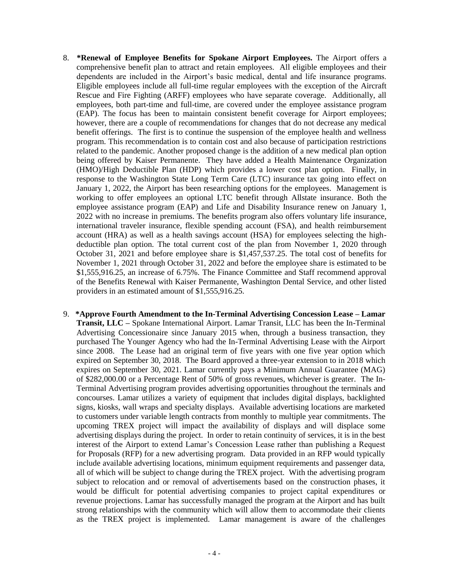- 8. **\*Renewal of Employee Benefits for Spokane Airport Employees.** The Airport offers a comprehensive benefit plan to attract and retain employees. All eligible employees and their dependents are included in the Airport's basic medical, dental and life insurance programs. Eligible employees include all full-time regular employees with the exception of the Aircraft Rescue and Fire Fighting (ARFF) employees who have separate coverage. Additionally, all employees, both part-time and full-time, are covered under the employee assistance program (EAP). The focus has been to maintain consistent benefit coverage for Airport employees; however, there are a couple of recommendations for changes that do not decrease any medical benefit offerings. The first is to continue the suspension of the employee health and wellness program. This recommendation is to contain cost and also because of participation restrictions related to the pandemic. Another proposed change is the addition of a new medical plan option being offered by Kaiser Permanente. They have added a Health Maintenance Organization (HMO)/High Deductible Plan (HDP) which provides a lower cost plan option. Finally, in response to the Washington State Long Term Care (LTC) insurance tax going into effect on January 1, 2022, the Airport has been researching options for the employees. Management is working to offer employees an optional LTC benefit through Allstate insurance. Both the employee assistance program (EAP) and Life and Disability Insurance renew on January 1, 2022 with no increase in premiums. The benefits program also offers voluntary life insurance, international traveler insurance, flexible spending account (FSA), and health reimbursement account (HRA) as well as a health savings account (HSA) for employees selecting the highdeductible plan option. The total current cost of the plan from November 1, 2020 through October 31, 2021 and before employee share is \$1,457,537.25. The total cost of benefits for November 1, 2021 through October 31, 2022 and before the employee share is estimated to be \$1,555,916.25, an increase of 6.75%. The Finance Committee and Staff recommend approval of the Benefits Renewal with Kaiser Permanente, Washington Dental Service, and other listed providers in an estimated amount of \$1,555,916.25.
- 9. **\*Approve Fourth Amendment to the In-Terminal Advertising Concession Lease – Lamar Transit, LLC –** Spokane International Airport. Lamar Transit, LLC has been the In-Terminal Advertising Concessionaire since January 2015 when, through a business transaction, they purchased The Younger Agency who had the In-Terminal Advertising Lease with the Airport since 2008. The Lease had an original term of five years with one five year option which expired on September 30, 2018. The Board approved a three-year extension to in 2018 which expires on September 30, 2021. Lamar currently pays a Minimum Annual Guarantee (MAG) of \$282,000.00 or a Percentage Rent of 50% of gross revenues, whichever is greater. The In-Terminal Advertising program provides advertising opportunities throughout the terminals and concourses. Lamar utilizes a variety of equipment that includes digital displays, backlighted signs, kiosks, wall wraps and specialty displays. Available advertising locations are marketed to customers under variable length contracts from monthly to multiple year commitments. The upcoming TREX project will impact the availability of displays and will displace some advertising displays during the project. In order to retain continuity of services, it is in the best interest of the Airport to extend Lamar's Concession Lease rather than publishing a Request for Proposals (RFP) for a new advertising program. Data provided in an RFP would typically include available advertising locations, minimum equipment requirements and passenger data, all of which will be subject to change during the TREX project. With the advertising program subject to relocation and or removal of advertisements based on the construction phases, it would be difficult for potential advertising companies to project capital expenditures or revenue projections. Lamar has successfully managed the program at the Airport and has built strong relationships with the community which will allow them to accommodate their clients as the TREX project is implemented. Lamar management is aware of the challenges